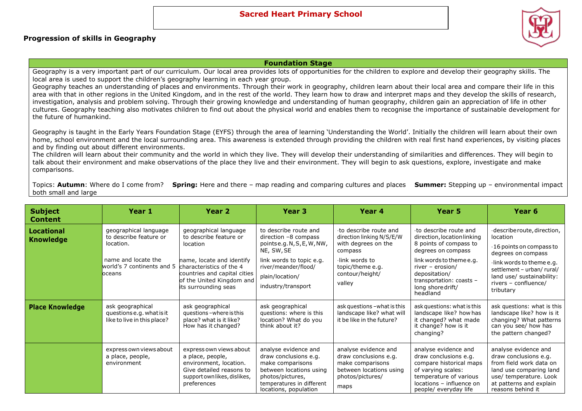## **Sacred Heart Primary School**

## **Progression of skills in Geography**

## **Foundation Stage**

Geography is a very important part of our curriculum. Our local area provides lots of opportunities for the children to explore and develop their geography skills. The local area is used to support the children's geography learning in each year group.

Geography teaches an understanding of places and environments. Through their work in geography, children learn about their local area and compare their life in this area with that in other regions in the United Kingdom, and in the rest of the world. They learn how to draw and interpret maps and they develop the skills of research, investigation, analysis and problem solving. Through their growing knowledge and understanding of human geography, children gain an appreciation of life in other cultures. Geography teaching also motivates children to find out about the physical world and enables them to recognise the importance of sustainable development for the future of humankind.

Geography is taught in the Early Years Foundation Stage (EYFS) through the area of learning 'Understanding the World'. Initially the children will learn about their own home, school environment and the local surrounding area. This awareness is extended through providing the children with real first hand experiences, by visiting places and by finding out about different environments.

The children will learn about their community and the world in which they live. They will develop their understanding of similarities and differences. They will begin to talk about their environment and make observations of the place they live and their environment. They will begin to ask questions, explore, investigate and make comparisons.

Topics: **Autumn**: Where do I come from? **Spring:** Here and there – map reading and comparing cultures and places **Summer:** Stepping up – environmental impact both small and large

| <b>Subject</b><br><b>Content</b>      | Year 1                                                                                                                      | Year 2                                                                                                                                                                                                    | Year <sub>3</sub>                                                                                                                                                                   | Year 4                                                                                                                                                 | Year 5                                                                                                                                                                                                                             | Year 6                                                                                                                                                                                                                      |
|---------------------------------------|-----------------------------------------------------------------------------------------------------------------------------|-----------------------------------------------------------------------------------------------------------------------------------------------------------------------------------------------------------|-------------------------------------------------------------------------------------------------------------------------------------------------------------------------------------|--------------------------------------------------------------------------------------------------------------------------------------------------------|------------------------------------------------------------------------------------------------------------------------------------------------------------------------------------------------------------------------------------|-----------------------------------------------------------------------------------------------------------------------------------------------------------------------------------------------------------------------------|
| <b>Locational</b><br><b>Knowledge</b> | geographical language<br>to describe feature or<br>location.<br>name and locate the<br>world's 7 continents and 5<br>oceans | geographical language<br>to describe feature or<br>location<br>name, locate and identify<br>characteristics of the 4<br>countries and capital cities<br>of the United Kingdom and<br>its surrounding seas | to describe route and<br>direction $-8$ compass<br>pointse.g.N,S,E,W,NW,<br>NE, SW, SE<br>link words to topic e.g.<br>river/meander/flood/<br>plain/location/<br>industry/transport | to describe route and<br>direction linking N/S/E/W<br>with degrees on the<br>compass<br>link words to<br>topic/theme e.g.<br>contour/height/<br>valley | to describe route and<br>direction, location linking<br>8 points of compass to<br>degrees on compass<br>link words to theme e.g.<br>river - erosion/<br>depositation/<br>transportation: coasts -<br>long shore drift/<br>headland | describe route, direction,<br>location<br>$\cdot$ 16 points on compass to<br>degrees on compass<br>link words to theme e.g.<br>settlement - urban/ rural/<br>land use/ sustainability:<br>rivers - confluence/<br>tributary |
| <b>Place Knowledge</b>                | ask geographical<br>questions e.g. what is it<br>like to live in this place?                                                | ask geographical<br>questions-where is this<br>place? what is it like?<br>How has it changed?                                                                                                             | ask geographical<br>questions: where is this<br>location? What do you<br>think about it?                                                                                            | ask questions - what is this<br>landscape like? what will<br>it be like in the future?                                                                 | ask questions: what is this<br>landscape like? how has<br>it changed? what made<br>it change? how is it<br>changing?                                                                                                               | ask questions: what is this<br>landscape like? how is it<br>changing? What patterns<br>can you see/ how has<br>the pattern changed?                                                                                         |
|                                       | express own views about<br>a place, people,<br>environment                                                                  | express own views about<br>a place, people,<br>environment, location.<br>Give detailed reasons to<br>support own likes, dislikes,<br>preferences                                                          | analyse evidence and<br>draw conclusions e.g.<br>make comparisons<br>between locations using<br>photos/pictures,<br>temperatures in different<br>locations, population              | analyse evidence and<br>draw conclusions e.g.<br>make comparisons<br>between locations using<br>photos/pictures/<br>maps                               | analyse evidence and<br>draw conclusions e.g.<br>compare historical maps<br>of varying scales:<br>temperature of various<br>locations - influence on<br>people/ everyday life                                                      | analyse evidence and<br>draw conclusions e.g.<br>from field work data on<br>land use comparing land<br>use/ temperature. Look<br>at patterns and explain<br>reasons behind it                                               |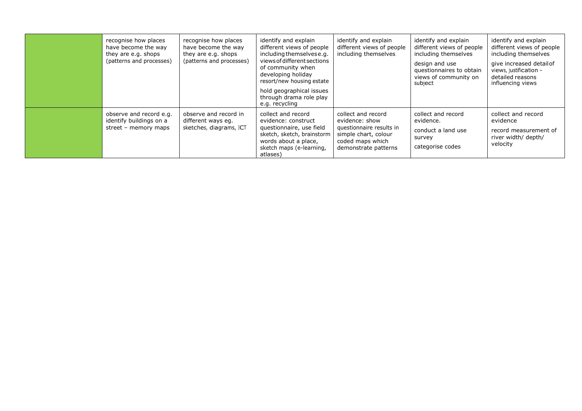| recognise how places<br>have become the way<br>they are e.g. shops<br>(patterns and processes) | recognise how places<br>have become the way<br>they are e.g. shops<br>(patterns and processes) | identify and explain<br>different views of people<br>including themselves e.g.<br>views of different sections<br>of community when<br>developing holiday<br>resort/new housing estate<br>hold geographical issues<br>through drama role play<br>e.g. recycling | identify and explain<br>different views of people<br>including themselves                                                            | identify and explain<br>different views of people<br>including themselves<br>design and use<br>questionnaires to obtain<br>views of community on<br>subject | identify and explain<br>different views of people<br>including themselves<br>give increased detailof<br>views, justification -<br>detailed reasons<br>influencing views |
|------------------------------------------------------------------------------------------------|------------------------------------------------------------------------------------------------|----------------------------------------------------------------------------------------------------------------------------------------------------------------------------------------------------------------------------------------------------------------|--------------------------------------------------------------------------------------------------------------------------------------|-------------------------------------------------------------------------------------------------------------------------------------------------------------|-------------------------------------------------------------------------------------------------------------------------------------------------------------------------|
| observe and record e.g.<br>identify buildings on a<br>street - memory maps                     | observe and record in<br>different ways eg.<br>sketches, diagrams, ICT                         | collect and record<br>evidence: construct<br>questionnaire, use field<br>sketch, sketch, brainstorm<br>words about a place,<br>sketch maps (e-learning,<br>atlases)                                                                                            | collect and record<br>evidence: show<br>questionnaire results in<br>simple chart, colour<br>coded maps which<br>demonstrate patterns | collect and record<br>evidence.<br>conduct a land use<br>survey<br>categorise codes                                                                         | collect and record<br>evidence<br>record measurement of<br>river width/ depth/<br>velocity                                                                              |